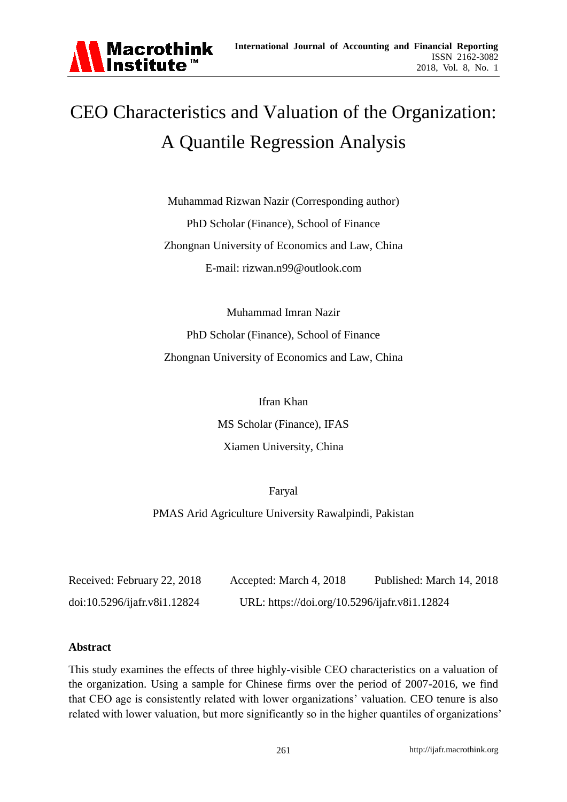

# CEO Characteristics and Valuation of the Organization: A Quantile Regression Analysis

Muhammad Rizwan Nazir (Corresponding author) PhD Scholar (Finance), School of Finance Zhongnan University of Economics and Law, China E-mail: rizwan.n99@outlook.com

Muhammad Imran Nazir PhD Scholar (Finance), School of Finance Zhongnan University of Economics and Law, China

> Ifran Khan MS Scholar (Finance), IFAS Xiamen University, China

> > Faryal

PMAS Arid Agriculture University Rawalpindi, Pakistan

| Received: February 22, 2018     | Accepted: March 4, 2018                       | Published: March 14, 2018 |
|---------------------------------|-----------------------------------------------|---------------------------|
| $doi:10.5296/ij$ afr.v8i1.12824 | URL: https://doi.org/10.5296/ijafr.v8i1.12824 |                           |

## **Abstract**

This study examines the effects of three highly-visible CEO characteristics on a valuation of the organization. Using a sample for Chinese firms over the period of 2007-2016, we find that CEO age is consistently related with lower organizations' valuation. CEO tenure is also related with lower valuation, but more significantly so in the higher quantiles of organizations'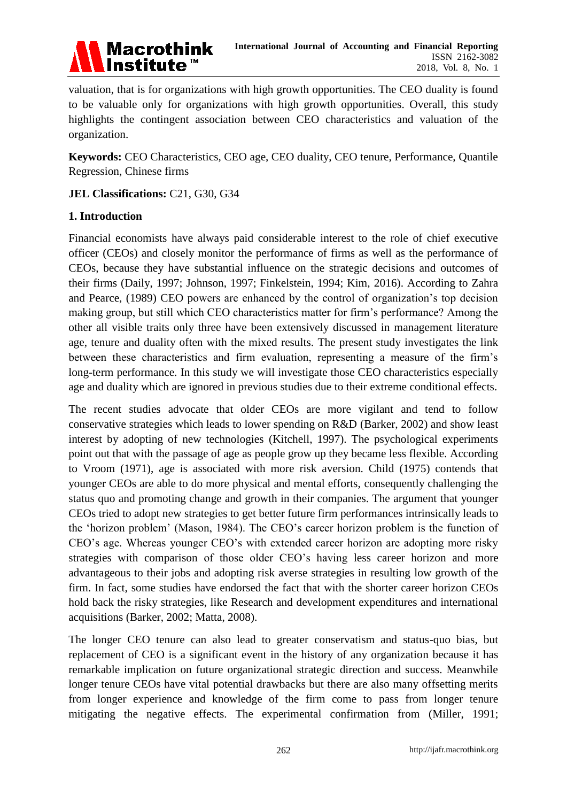

valuation, that is for organizations with high growth opportunities. The CEO duality is found to be valuable only for organizations with high growth opportunities. Overall, this study highlights the contingent association between CEO characteristics and valuation of the organization.

**Keywords:** CEO Characteristics, CEO age, CEO duality, CEO tenure, Performance, Quantile Regression, Chinese firms

**JEL Classifications:** C21, G30, G34

#### **1. Introduction**

Financial economists have always paid considerable interest to the role of chief executive officer (CEOs) and closely monitor the performance of firms as well as the performance of CEOs, because they have substantial influence on the strategic decisions and outcomes of their firms (Daily, 1997; Johnson, 1997; Finkelstein, 1994; Kim, 2016). According to Zahra and Pearce, (1989) CEO powers are enhanced by the control of organization's top decision making group, but still which CEO characteristics matter for firm's performance? Among the other all visible traits only three have been extensively discussed in management literature age, tenure and duality often with the mixed results. The present study investigates the link between these characteristics and firm evaluation, representing a measure of the firm's long-term performance. In this study we will investigate those CEO characteristics especially age and duality which are ignored in previous studies due to their extreme conditional effects.

The recent studies advocate that older CEOs are more vigilant and tend to follow conservative strategies which leads to lower spending on R&D (Barker, 2002) and show least interest by adopting of new technologies (Kitchell, 1997). The psychological experiments point out that with the passage of age as people grow up they became less flexible. According to Vroom (1971), age is associated with more risk aversion. Child (1975) contends that younger CEOs are able to do more physical and mental efforts, consequently challenging the status quo and promoting change and growth in their companies. The argument that younger CEOs tried to adopt new strategies to get better future firm performances intrinsically leads to the 'horizon problem' (Mason, 1984). The CEO's career horizon problem is the function of CEO's age. Whereas younger CEO's with extended career horizon are adopting more risky strategies with comparison of those older CEO's having less career horizon and more advantageous to their jobs and adopting risk averse strategies in resulting low growth of the firm. In fact, some studies have endorsed the fact that with the shorter career horizon CEOs hold back the risky strategies, like Research and development expenditures and international acquisitions (Barker, 2002; Matta, 2008).

The longer CEO tenure can also lead to greater conservatism and status-quo bias, but replacement of CEO is a significant event in the history of any organization because it has remarkable implication on future organizational strategic direction and success. Meanwhile longer tenure CEOs have vital potential drawbacks but there are also many offsetting merits from longer experience and knowledge of the firm come to pass from longer tenure mitigating the negative effects. The experimental confirmation from (Miller, 1991;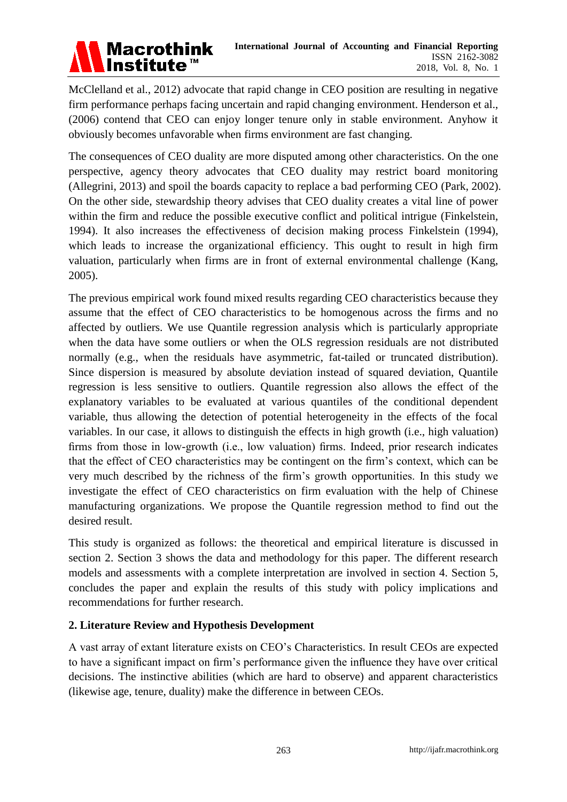

McClelland et al., 2012) advocate that rapid change in CEO position are resulting in negative firm performance perhaps facing uncertain and rapid changing environment. Henderson et al., (2006) contend that CEO can enjoy longer tenure only in stable environment. Anyhow it obviously becomes unfavorable when firms environment are fast changing.

The consequences of CEO duality are more disputed among other characteristics. On the one perspective, agency theory advocates that CEO duality may restrict board monitoring (Allegrini, 2013) and spoil the boards capacity to replace a bad performing CEO (Park, 2002). On the other side, stewardship theory advises that CEO duality creates a vital line of power within the firm and reduce the possible executive conflict and political intrigue (Finkelstein, 1994). It also increases the effectiveness of decision making process Finkelstein (1994), which leads to increase the organizational efficiency. This ought to result in high firm valuation, particularly when firms are in front of external environmental challenge (Kang, 2005).

The previous empirical work found mixed results regarding CEO characteristics because they assume that the effect of CEO characteristics to be homogenous across the firms and no affected by outliers. We use Quantile regression analysis which is particularly appropriate when the data have some outliers or when the OLS regression residuals are not distributed normally (e.g., when the residuals have asymmetric, fat-tailed or truncated distribution). Since dispersion is measured by absolute deviation instead of squared deviation, Quantile regression is less sensitive to outliers. Quantile regression also allows the effect of the explanatory variables to be evaluated at various quantiles of the conditional dependent variable, thus allowing the detection of potential heterogeneity in the effects of the focal variables. In our case, it allows to distinguish the effects in high growth (i.e., high valuation) firms from those in low-growth (i.e., low valuation) firms. Indeed, prior research indicates that the effect of CEO characteristics may be contingent on the firm's context, which can be very much described by the richness of the firm's growth opportunities. In this study we investigate the effect of CEO characteristics on firm evaluation with the help of Chinese manufacturing organizations. We propose the Quantile regression method to find out the desired result.

This study is organized as follows: the theoretical and empirical literature is discussed in section 2. Section 3 shows the data and methodology for this paper. The different research models and assessments with a complete interpretation are involved in section 4. Section 5, concludes the paper and explain the results of this study with policy implications and recommendations for further research.

## **2. Literature Review and Hypothesis Development**

A vast array of extant literature exists on CEO's Characteristics. In result CEOs are expected to have a significant impact on firm's performance given the influence they have over critical decisions. The instinctive abilities (which are hard to observe) and apparent characteristics (likewise age, tenure, duality) make the difference in between CEOs.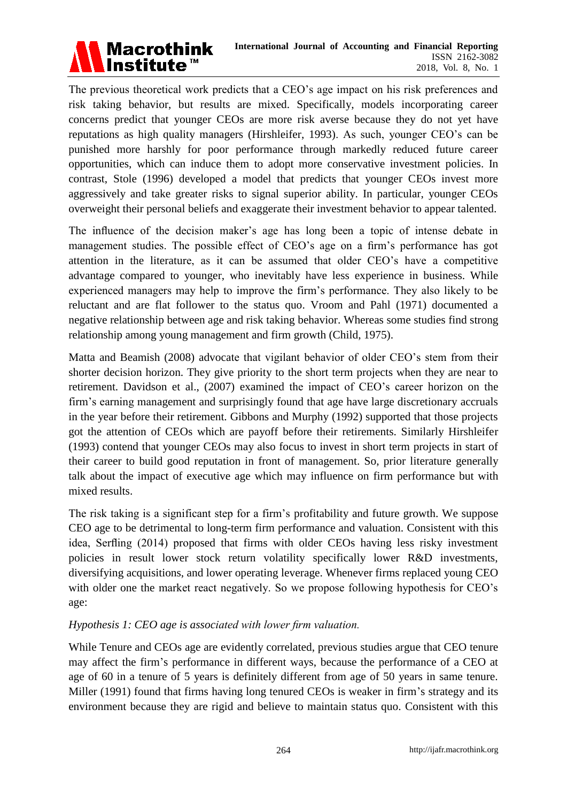

The previous theoretical work predicts that a CEO's age impact on his risk preferences and risk taking behavior, but results are mixed. Specifically, models incorporating career concerns predict that younger CEOs are more risk averse because they do not yet have reputations as high quality managers (Hirshleifer, 1993). As such, younger CEO's can be punished more harshly for poor performance through markedly reduced future career opportunities, which can induce them to adopt more conservative investment policies. In contrast, Stole (1996) developed a model that predicts that younger CEOs invest more aggressively and take greater risks to signal superior ability. In particular, younger CEOs overweight their personal beliefs and exaggerate their investment behavior to appear talented.

The influence of the decision maker's age has long been a topic of intense debate in management studies. The possible effect of CEO's age on a firm's performance has got attention in the literature, as it can be assumed that older CEO's have a competitive advantage compared to younger, who inevitably have less experience in business. While experienced managers may help to improve the firm's performance. They also likely to be reluctant and are flat follower to the status quo. Vroom and Pahl (1971) documented a negative relationship between age and risk taking behavior. Whereas some studies find strong relationship among young management and firm growth (Child, 1975).

Matta and Beamish (2008) advocate that vigilant behavior of older CEO's stem from their shorter decision horizon. They give priority to the short term projects when they are near to retirement. Davidson et al., (2007) examined the impact of CEO's career horizon on the firm's earning management and surprisingly found that age have large discretionary accruals in the year before their retirement. Gibbons and Murphy (1992) supported that those projects got the attention of CEOs which are payoff before their retirements. Similarly Hirshleifer (1993) contend that younger CEOs may also focus to invest in short term projects in start of their career to build good reputation in front of management. So, prior literature generally talk about the impact of executive age which may influence on firm performance but with mixed results.

The risk taking is a significant step for a firm's profitability and future growth. We suppose CEO age to be detrimental to long-term firm performance and valuation. Consistent with this idea, Serfling (2014) proposed that firms with older CEOs having less risky investment policies in result lower stock return volatility specifically lower R&D investments, diversifying acquisitions, and lower operating leverage. Whenever firms replaced young CEO with older one the market react negatively. So we propose following hypothesis for CEO's age:

## *Hypothesis 1: CEO age is associated with lower firm valuation.*

While Tenure and CEOs age are evidently correlated, previous studies argue that CEO tenure may affect the firm's performance in different ways, because the performance of a CEO at age of 60 in a tenure of 5 years is definitely different from age of 50 years in same tenure. Miller (1991) found that firms having long tenured CEOs is weaker in firm's strategy and its environment because they are rigid and believe to maintain status quo. Consistent with this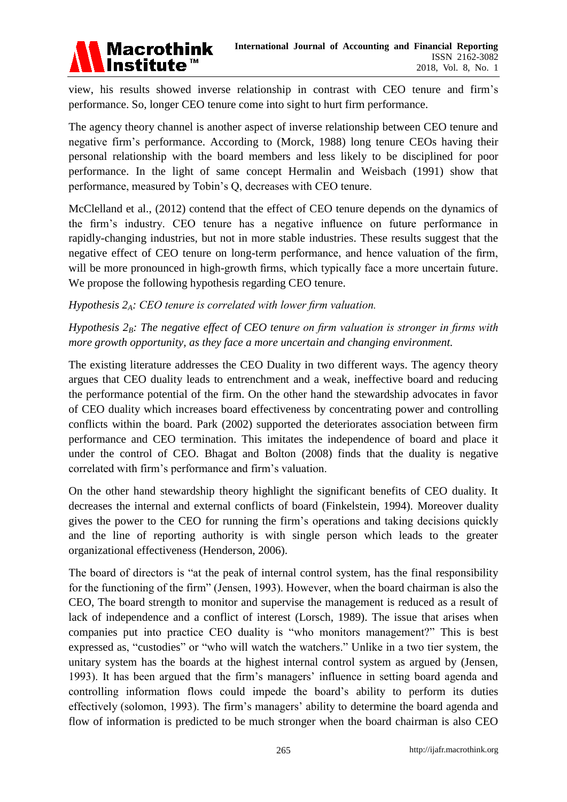

view, his results showed inverse relationship in contrast with CEO tenure and firm's performance. So, longer CEO tenure come into sight to hurt firm performance.

The agency theory channel is another aspect of inverse relationship between CEO tenure and negative firm's performance. According to (Morck, 1988) long tenure CEOs having their personal relationship with the board members and less likely to be disciplined for poor performance. In the light of same concept Hermalin and Weisbach (1991) show that performance, measured by Tobin's Q, decreases with CEO tenure.

McClelland et al., (2012) contend that the effect of CEO tenure depends on the dynamics of the firm's industry. CEO tenure has a negative influence on future performance in rapidly-changing industries, but not in more stable industries. These results suggest that the negative effect of CEO tenure on long-term performance, and hence valuation of the firm, will be more pronounced in high-growth firms, which typically face a more uncertain future. We propose the following hypothesis regarding CEO tenure.

*Hypothesis 2A: CEO tenure is correlated with lower firm valuation.*

*Hypothesis 2B: The negative effect of CEO tenure on firm valuation is stronger in firms with more growth opportunity, as they face a more uncertain and changing environment.*

The existing literature addresses the CEO Duality in two different ways. The agency theory argues that CEO duality leads to entrenchment and a weak, ineffective board and reducing the performance potential of the firm. On the other hand the stewardship advocates in favor of CEO duality which increases board effectiveness by concentrating power and controlling conflicts within the board. Park (2002) supported the deteriorates association between firm performance and CEO termination. This imitates the independence of board and place it under the control of CEO. Bhagat and Bolton (2008) finds that the duality is negative correlated with firm's performance and firm's valuation.

On the other hand stewardship theory highlight the significant benefits of CEO duality. It decreases the internal and external conflicts of board (Finkelstein, 1994). Moreover duality gives the power to the CEO for running the firm's operations and taking decisions quickly and the line of reporting authority is with single person which leads to the greater organizational effectiveness (Henderson, 2006).

The board of directors is "at the peak of internal control system, has the final responsibility for the functioning of the firm" (Jensen, 1993). However, when the board chairman is also the CEO, The board strength to monitor and supervise the management is reduced as a result of lack of independence and a conflict of interest (Lorsch, 1989). The issue that arises when companies put into practice CEO duality is "who monitors management?" This is best expressed as, "custodies" or "who will watch the watchers." Unlike in a two tier system, the unitary system has the boards at the highest internal control system as argued by (Jensen, 1993). It has been argued that the firm's managers' influence in setting board agenda and controlling information flows could impede the board's ability to perform its duties effectively (solomon, 1993). The firm's managers' ability to determine the board agenda and flow of information is predicted to be much stronger when the board chairman is also CEO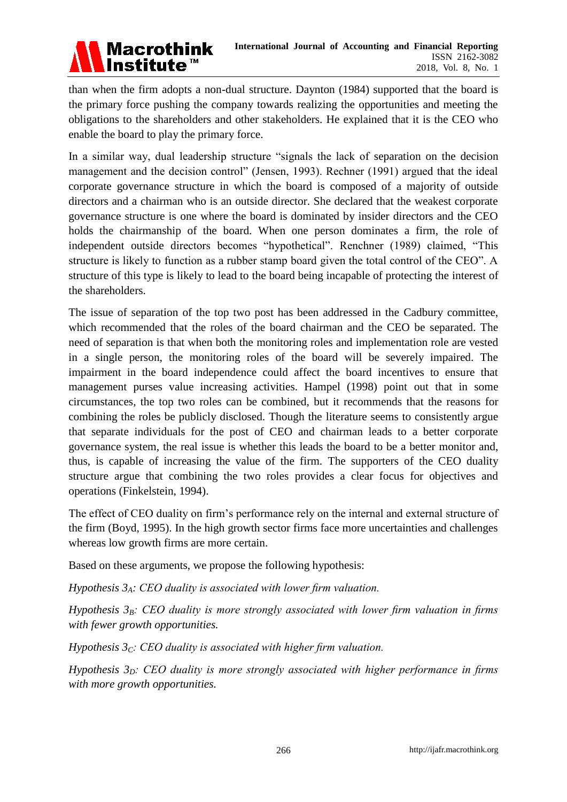

than when the firm adopts a non-dual structure. Daynton (1984) supported that the board is the primary force pushing the company towards realizing the opportunities and meeting the obligations to the shareholders and other stakeholders. He explained that it is the CEO who enable the board to play the primary force.

In a similar way, dual leadership structure "signals the lack of separation on the decision management and the decision control" (Jensen, 1993). Rechner (1991) argued that the ideal corporate governance structure in which the board is composed of a majority of outside directors and a chairman who is an outside director. She declared that the weakest corporate governance structure is one where the board is dominated by insider directors and the CEO holds the chairmanship of the board. When one person dominates a firm, the role of independent outside directors becomes "hypothetical". Renchner (1989) claimed, "This structure is likely to function as a rubber stamp board given the total control of the CEO". A structure of this type is likely to lead to the board being incapable of protecting the interest of the shareholders.

The issue of separation of the top two post has been addressed in the Cadbury committee, which recommended that the roles of the board chairman and the CEO be separated. The need of separation is that when both the monitoring roles and implementation role are vested in a single person, the monitoring roles of the board will be severely impaired. The impairment in the board independence could affect the board incentives to ensure that management purses value increasing activities. Hampel (1998) point out that in some circumstances, the top two roles can be combined, but it recommends that the reasons for combining the roles be publicly disclosed. Though the literature seems to consistently argue that separate individuals for the post of CEO and chairman leads to a better corporate governance system, the real issue is whether this leads the board to be a better monitor and, thus, is capable of increasing the value of the firm. The supporters of the CEO duality structure argue that combining the two roles provides a clear focus for objectives and operations (Finkelstein, 1994).

The effect of CEO duality on firm's performance rely on the internal and external structure of the firm (Boyd, 1995). In the high growth sector firms face more uncertainties and challenges whereas low growth firms are more certain.

Based on these arguments, we propose the following hypothesis:

*Hypothesis 3A: CEO duality is associated with lower firm valuation.*

*Hypothesis 3B: CEO duality is more strongly associated with lower firm valuation in firms with fewer growth opportunities.*

*Hypothesis 3C: CEO duality is associated with higher firm valuation.*

*Hypothesis 3D: CEO duality is more strongly associated with higher performance in firms with more growth opportunities.*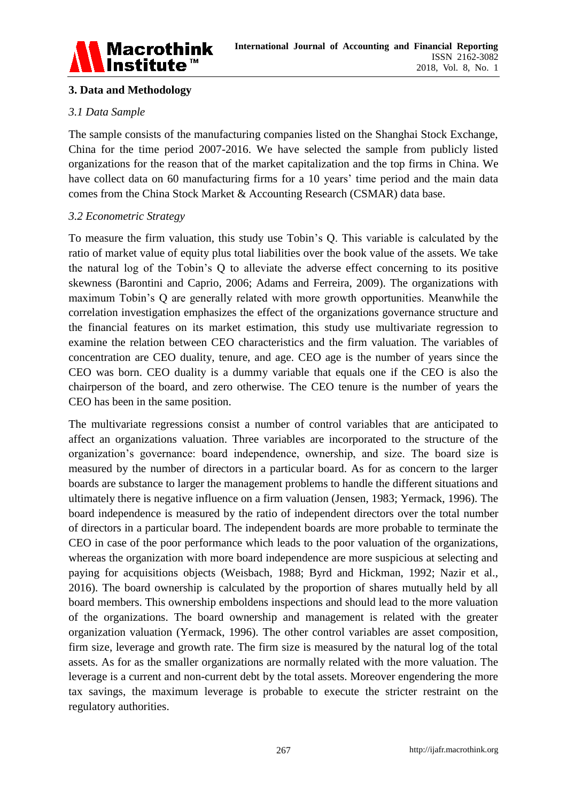

# **3. Data and Methodology**

## *3.1 Data Sample*

The sample consists of the manufacturing companies listed on the Shanghai Stock Exchange, China for the time period 2007-2016. We have selected the sample from publicly listed organizations for the reason that of the market capitalization and the top firms in China. We have collect data on 60 manufacturing firms for a 10 years' time period and the main data comes from the China Stock Market & Accounting Research (CSMAR) data base.

## *3.2 Econometric Strategy*

To measure the firm valuation, this study use Tobin's Q. This variable is calculated by the ratio of market value of equity plus total liabilities over the book value of the assets. We take the natural log of the Tobin's Q to alleviate the adverse effect concerning to its positive skewness (Barontini and Caprio, 2006; Adams and Ferreira, 2009). The organizations with maximum Tobin's Q are generally related with more growth opportunities. Meanwhile the correlation investigation emphasizes the effect of the organizations governance structure and the financial features on its market estimation, this study use multivariate regression to examine the relation between CEO characteristics and the firm valuation. The variables of concentration are CEO duality, tenure, and age. CEO age is the number of years since the CEO was born. CEO duality is a dummy variable that equals one if the CEO is also the chairperson of the board, and zero otherwise. The CEO tenure is the number of years the CEO has been in the same position.

The multivariate regressions consist a number of control variables that are anticipated to affect an organizations valuation. Three variables are incorporated to the structure of the organization's governance: board independence, ownership, and size. The board size is measured by the number of directors in a particular board. As for as concern to the larger boards are substance to larger the management problems to handle the different situations and ultimately there is negative influence on a firm valuation (Jensen, 1983; Yermack, 1996). The board independence is measured by the ratio of independent directors over the total number of directors in a particular board. The independent boards are more probable to terminate the CEO in case of the poor performance which leads to the poor valuation of the organizations, whereas the organization with more board independence are more suspicious at selecting and paying for acquisitions objects (Weisbach, 1988; Byrd and Hickman, 1992; Nazir et al., 2016). The board ownership is calculated by the proportion of shares mutually held by all board members. This ownership emboldens inspections and should lead to the more valuation of the organizations. The board ownership and management is related with the greater organization valuation (Yermack, 1996). The other control variables are asset composition, firm size, leverage and growth rate. The firm size is measured by the natural log of the total assets. As for as the smaller organizations are normally related with the more valuation. The leverage is a current and non-current debt by the total assets. Moreover engendering the more tax savings, the maximum leverage is probable to execute the stricter restraint on the regulatory authorities.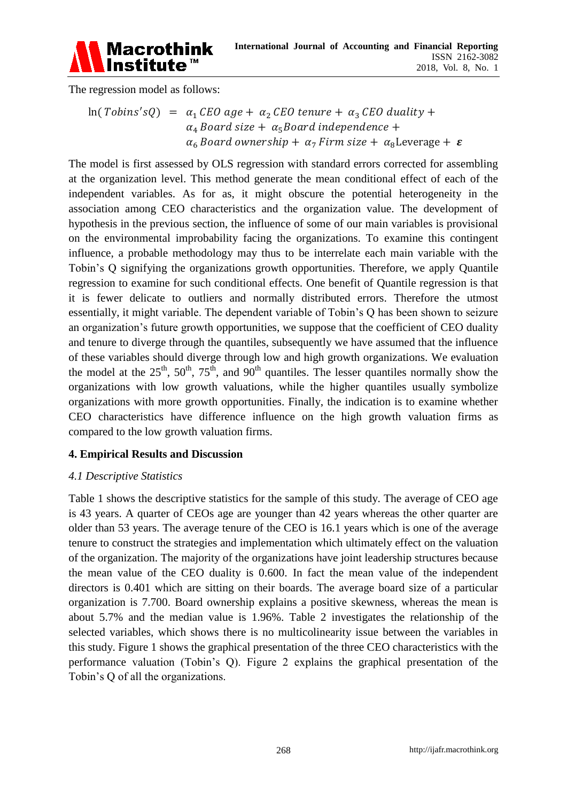

The regression model as follows:

$$
\ln(Tobins'sQ) = \alpha_1 EO \, age + \alpha_2 EO \, tenure + \alpha_3 EO \, duality + \alpha_4 \, Board \, size + \alpha_5 \, Board \, independence + \alpha_6 \, Board \, ownership + \alpha_7 \, Firm \, size + \alpha_8 \, Leverage + \varepsilon
$$

The model is first assessed by OLS regression with standard errors corrected for assembling at the organization level. This method generate the mean conditional effect of each of the independent variables. As for as, it might obscure the potential heterogeneity in the association among CEO characteristics and the organization value. The development of hypothesis in the previous section, the influence of some of our main variables is provisional on the environmental improbability facing the organizations. To examine this contingent influence, a probable methodology may thus to be interrelate each main variable with the Tobin's Q signifying the organizations growth opportunities. Therefore, we apply Quantile regression to examine for such conditional effects. One benefit of Quantile regression is that it is fewer delicate to outliers and normally distributed errors. Therefore the utmost essentially, it might variable. The dependent variable of Tobin's Q has been shown to seizure an organization's future growth opportunities, we suppose that the coefficient of CEO duality and tenure to diverge through the quantiles, subsequently we have assumed that the influence of these variables should diverge through low and high growth organizations. We evaluation the model at the  $25^{th}$ ,  $50^{th}$ ,  $75^{th}$ , and  $90^{th}$  quantiles. The lesser quantiles normally show the organizations with low growth valuations, while the higher quantiles usually symbolize organizations with more growth opportunities. Finally, the indication is to examine whether CEO characteristics have difference influence on the high growth valuation firms as compared to the low growth valuation firms.

## **4. Empirical Results and Discussion**

## *4.1 Descriptive Statistics*

Table 1 shows the descriptive statistics for the sample of this study. The average of CEO age is 43 years. A quarter of CEOs age are younger than 42 years whereas the other quarter are older than 53 years. The average tenure of the CEO is 16.1 years which is one of the average tenure to construct the strategies and implementation which ultimately effect on the valuation of the organization. The majority of the organizations have joint leadership structures because the mean value of the CEO duality is 0.600. In fact the mean value of the independent directors is 0.401 which are sitting on their boards. The average board size of a particular organization is 7.700. Board ownership explains a positive skewness, whereas the mean is about 5.7% and the median value is 1.96%. Table 2 investigates the relationship of the selected variables, which shows there is no multicolinearity issue between the variables in this study. Figure 1 shows the graphical presentation of the three CEO characteristics with the performance valuation (Tobin's Q). Figure 2 explains the graphical presentation of the Tobin's Q of all the organizations.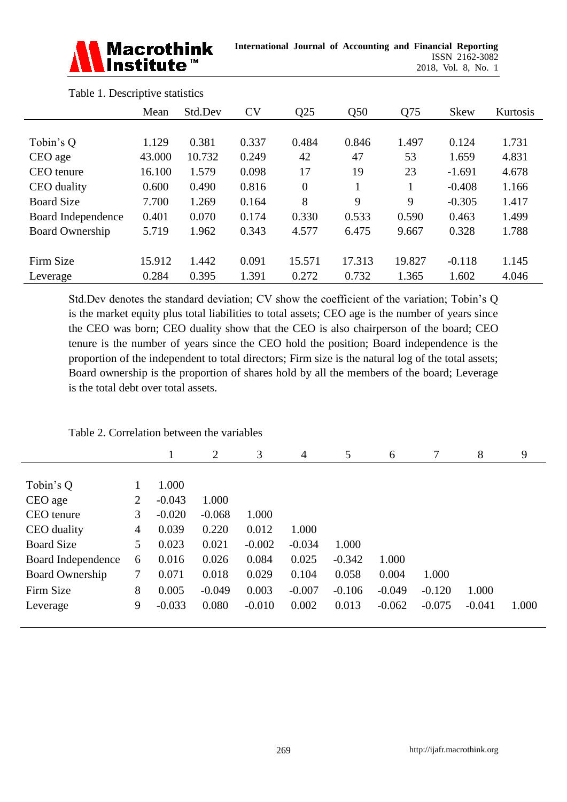| Table 1. Descriptive statistics |        |         |           |                 |                 |                 |             |          |
|---------------------------------|--------|---------|-----------|-----------------|-----------------|-----------------|-------------|----------|
|                                 | Mean   | Std.Dev | <b>CV</b> | Q <sub>25</sub> | Q <sub>50</sub> | Q <sub>75</sub> | <b>Skew</b> | Kurtosis |
|                                 |        |         |           |                 |                 |                 |             |          |
| Tobin's Q                       | 1.129  | 0.381   | 0.337     | 0.484           | 0.846           | 1.497           | 0.124       | 1.731    |
| CEO age                         | 43.000 | 10.732  | 0.249     | 42              | 47              | 53              | 1.659       | 4.831    |
| CEO tenure                      | 16.100 | 1.579   | 0.098     | 17              | 19              | 23              | $-1.691$    | 4.678    |
| CEO duality                     | 0.600  | 0.490   | 0.816     | $\theta$        |                 |                 | $-0.408$    | 1.166    |
| <b>Board Size</b>               | 7.700  | 1.269   | 0.164     | 8               | 9               | 9               | $-0.305$    | 1.417    |
| Board Independence              | 0.401  | 0.070   | 0.174     | 0.330           | 0.533           | 0.590           | 0.463       | 1.499    |
| <b>Board Ownership</b>          | 5.719  | 1.962   | 0.343     | 4.577           | 6.475           | 9.667           | 0.328       | 1.788    |
|                                 |        |         |           |                 |                 |                 |             |          |
| Firm Size                       | 15.912 | 1.442   | 0.091     | 15.571          | 17.313          | 19.827          | $-0.118$    | 1.145    |
| Leverage                        | 0.284  | 0.395   | 1.391     | 0.272           | 0.732           | 1.365           | 1.602       | 4.046    |

 $T$  11. Descriptive statistics statistics statistics statistics statistics statistics statistics statistics statistics statistics statistics statistics statistics statistics statistics statistics statistics statistics sta

Std.Dev denotes the standard deviation; CV show the coefficient of the variation; Tobin's Q is the market equity plus total liabilities to total assets; CEO age is the number of years since the CEO was born; CEO duality show that the CEO is also chairperson of the board; CEO tenure is the number of years since the CEO hold the position; Board independence is the proportion of the independent to total directors; Firm size is the natural log of the total assets; Board ownership is the proportion of shares hold by all the members of the board; Leverage is the total debt over total assets.

|                        |                |          | 2        | 3        | $\overline{4}$ | 5        | 6        | 7        | 8        | 9     |
|------------------------|----------------|----------|----------|----------|----------------|----------|----------|----------|----------|-------|
|                        |                |          |          |          |                |          |          |          |          |       |
| Tobin's Q              | 1              | 1.000    |          |          |                |          |          |          |          |       |
| CEO age                | $\overline{2}$ | $-0.043$ | 1.000    |          |                |          |          |          |          |       |
| CEO tenure             | 3              | $-0.020$ | $-0.068$ | 1.000    |                |          |          |          |          |       |
| CEO duality            | $\overline{4}$ | 0.039    | 0.220    | 0.012    | 1.000          |          |          |          |          |       |
| <b>Board Size</b>      | 5              | 0.023    | 0.021    | $-0.002$ | $-0.034$       | 1.000    |          |          |          |       |
| Board Independence     | 6              | 0.016    | 0.026    | 0.084    | 0.025          | $-0.342$ | 1.000    |          |          |       |
| <b>Board Ownership</b> | 7              | 0.071    | 0.018    | 0.029    | 0.104          | 0.058    | 0.004    | 1.000    |          |       |
| Firm Size              | 8              | 0.005    | $-0.049$ | 0.003    | $-0.007$       | $-0.106$ | $-0.049$ | $-0.120$ | 1.000    |       |
| Leverage               | 9              | $-0.033$ | 0.080    | $-0.010$ | 0.002          | 0.013    | $-0.062$ | $-0.075$ | $-0.041$ | 1.000 |

# Table 2. Correlation between the variables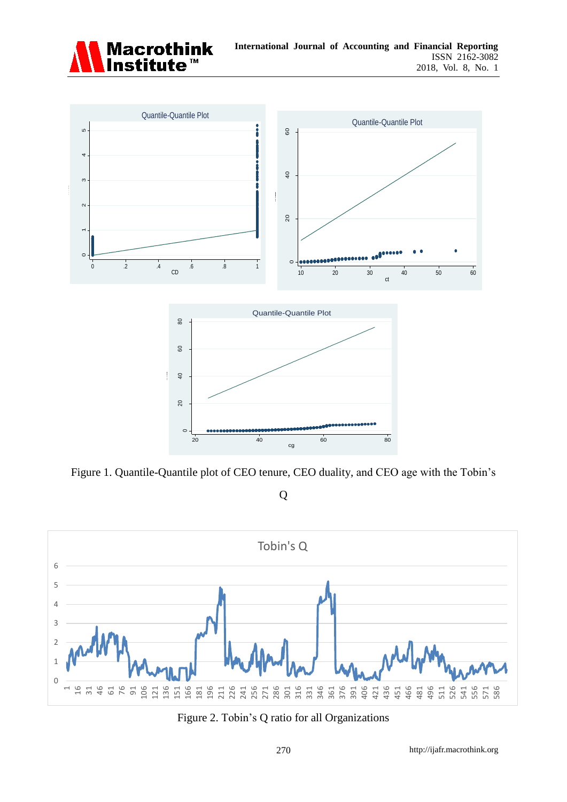



Figure 1. Quantile-Quantile plot of CEO tenure, CEO duality, and CEO age with the Tobin's

Q



Figure 2. Tobin's Q ratio for all Organizations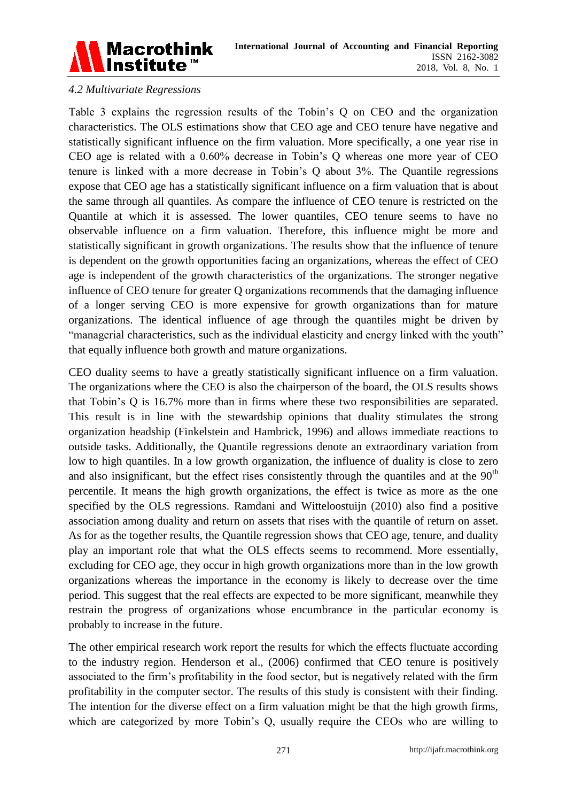

## *4.2 Multivariate Regressions*

Table 3 explains the regression results of the Tobin's Q on CEO and the organization characteristics. The OLS estimations show that CEO age and CEO tenure have negative and statistically significant influence on the firm valuation. More specifically, a one year rise in CEO age is related with a 0.60% decrease in Tobin's Q whereas one more year of CEO tenure is linked with a more decrease in Tobin's Q about 3%. The Quantile regressions expose that CEO age has a statistically significant influence on a firm valuation that is about the same through all quantiles. As compare the influence of CEO tenure is restricted on the Quantile at which it is assessed. The lower quantiles, CEO tenure seems to have no observable influence on a firm valuation. Therefore, this influence might be more and statistically significant in growth organizations. The results show that the influence of tenure is dependent on the growth opportunities facing an organizations, whereas the effect of CEO age is independent of the growth characteristics of the organizations. The stronger negative influence of CEO tenure for greater Q organizations recommends that the damaging influence of a longer serving CEO is more expensive for growth organizations than for mature organizations. The identical influence of age through the quantiles might be driven by "managerial characteristics, such as the individual elasticity and energy linked with the youth" that equally influence both growth and mature organizations.

CEO duality seems to have a greatly statistically significant influence on a firm valuation. The organizations where the CEO is also the chairperson of the board, the OLS results shows that Tobin's Q is 16.7% more than in firms where these two responsibilities are separated. This result is in line with the stewardship opinions that duality stimulates the strong organization headship (Finkelstein and Hambrick, 1996) and allows immediate reactions to outside tasks. Additionally, the Quantile regressions denote an extraordinary variation from low to high quantiles. In a low growth organization, the influence of duality is close to zero and also insignificant, but the effect rises consistently through the quantiles and at the  $90<sup>th</sup>$ percentile. It means the high growth organizations, the effect is twice as more as the one specified by the OLS regressions. Ramdani and Witteloostuijn (2010) also find a positive association among duality and return on assets that rises with the quantile of return on asset. As for as the together results, the Quantile regression shows that CEO age, tenure, and duality play an important role that what the OLS effects seems to recommend. More essentially, excluding for CEO age, they occur in high growth organizations more than in the low growth organizations whereas the importance in the economy is likely to decrease over the time period. This suggest that the real effects are expected to be more significant, meanwhile they restrain the progress of organizations whose encumbrance in the particular economy is probably to increase in the future.

The other empirical research work report the results for which the effects fluctuate according to the industry region. Henderson et al., (2006) confirmed that CEO tenure is positively associated to the firm's profitability in the food sector, but is negatively related with the firm profitability in the computer sector. The results of this study is consistent with their finding. The intention for the diverse effect on a firm valuation might be that the high growth firms, which are categorized by more Tobin's Q, usually require the CEOs who are willing to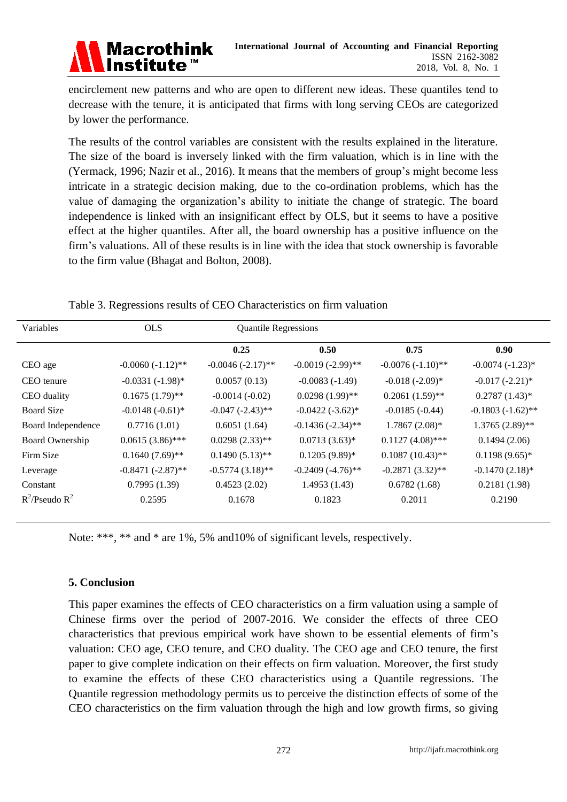

encirclement new patterns and who are open to different new ideas. These quantiles tend to decrease with the tenure, it is anticipated that firms with long serving CEOs are categorized by lower the performance.

The results of the control variables are consistent with the results explained in the literature. The size of the board is inversely linked with the firm valuation, which is in line with the (Yermack, 1996; Nazir et al., 2016). It means that the members of group's might become less intricate in a strategic decision making, due to the co-ordination problems, which has the value of damaging the organization's ability to initiate the change of strategic. The board independence is linked with an insignificant effect by OLS, but it seems to have a positive effect at the higher quantiles. After all, the board ownership has a positive influence on the firm's valuations. All of these results is in line with the idea that stock ownership is favorable to the firm value (Bhagat and Bolton, 2008).

| Table 3. Regressions results of CEO Characteristics on firm valuation |  |  |  |
|-----------------------------------------------------------------------|--|--|--|
|-----------------------------------------------------------------------|--|--|--|

| Variables           | <b>OLS</b>          | <b>Quantile Regressions</b> |                      |                     |                      |  |
|---------------------|---------------------|-----------------------------|----------------------|---------------------|----------------------|--|
|                     |                     | 0.25                        | 0.50                 | 0.75                | 0.90                 |  |
| CEO age             | $-0.0060(-1.12)$ ** | $-0.0046(-2.17)$ **         | $-0.0019(-2.99)$ **  | $-0.0076(-1.10)$ ** | $-0.0074(-1.23)*$    |  |
| CEO tenure          | $-0.0331(-1.98)$ *  | 0.0057(0.13)                | $-0.0083(-1.49)$     | $-0.018(-2.09)*$    | $-0.017(-2.21)$ *    |  |
| CEO duality         | $0.1675(1.79)$ **   | $-0.0014(-0.02)$            | $0.0298(1.99)$ **    | $0.2061(1.59)$ **   | $0.2787(1.43)$ *     |  |
| <b>Board Size</b>   | $-0.0148(-0.61)$ *  | $-0.047(-2.43)$ **          | $-0.0422(-3.62)$ *   | $-0.0185(-0.44)$    | $-0.1803 (-1.62)$ ** |  |
| Board Independence  | 0.7716(1.01)        | 0.6051(1.64)                | $-0.1436 (-2.34)$ ** | $1.7867(2.08)*$     | $1.3765(2.89)$ **    |  |
| Board Ownership     | $0.0615(3.86)$ ***  | $0.0298(2.33)$ **           | $0.0713(3.63)*$      | $0.1127(4.08)$ ***  | 0.1494(2.06)         |  |
| Firm Size           | $0.1640(7.69)$ **   | $0.1490(5.13)$ **           | $0.1205(9.89)$ *     | $0.1087(10.43)$ **  | $0.1198(9.65)*$      |  |
| Leverage            | $-0.8471(-2.87)$ ** | $-0.5774(3.18)$ **          | $-0.2409(-4.76)$ **  | $-0.2871(3.32)$ **  | $-0.1470(2.18)$ *    |  |
| Constant            | 0.7995(1.39)        | 0.4523(2.02)                | 1.4953(1.43)         | 0.6782(1.68)        | 0.2181(1.98)         |  |
| $R^2$ /Pseudo $R^2$ | 0.2595              | 0.1678                      | 0.1823               | 0.2011              | 0.2190               |  |

Note: \*\*\*, \*\* and \* are 1%, 5% and 10% of significant levels, respectively.

#### **5. Conclusion**

This paper examines the effects of CEO characteristics on a firm valuation using a sample of Chinese firms over the period of 2007-2016. We consider the effects of three CEO characteristics that previous empirical work have shown to be essential elements of firm's valuation: CEO age, CEO tenure, and CEO duality. The CEO age and CEO tenure, the first paper to give complete indication on their effects on firm valuation. Moreover, the first study to examine the effects of these CEO characteristics using a Quantile regressions. The Quantile regression methodology permits us to perceive the distinction effects of some of the CEO characteristics on the firm valuation through the high and low growth firms, so giving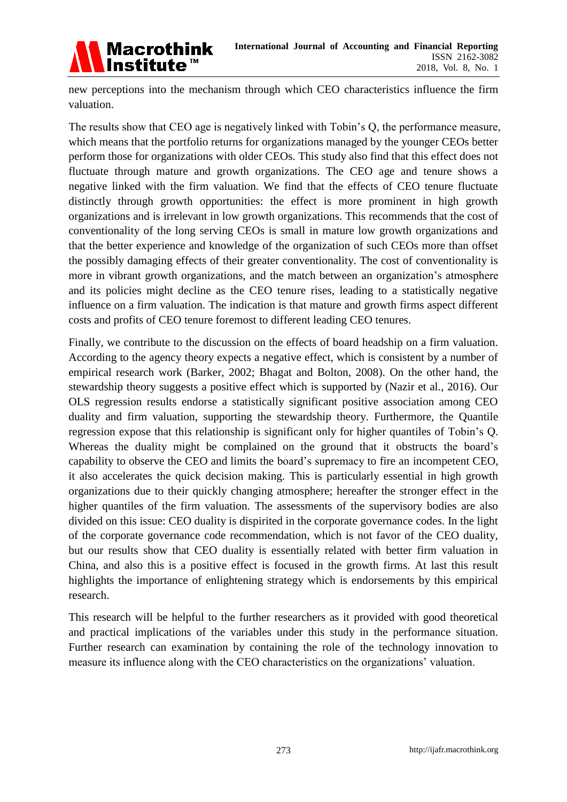

new perceptions into the mechanism through which CEO characteristics influence the firm valuation.

The results show that CEO age is negatively linked with Tobin's Q, the performance measure, which means that the portfolio returns for organizations managed by the younger CEOs better perform those for organizations with older CEOs. This study also find that this effect does not fluctuate through mature and growth organizations. The CEO age and tenure shows a negative linked with the firm valuation. We find that the effects of CEO tenure fluctuate distinctly through growth opportunities: the effect is more prominent in high growth organizations and is irrelevant in low growth organizations. This recommends that the cost of conventionality of the long serving CEOs is small in mature low growth organizations and that the better experience and knowledge of the organization of such CEOs more than offset the possibly damaging effects of their greater conventionality. The cost of conventionality is more in vibrant growth organizations, and the match between an organization's atmosphere and its policies might decline as the CEO tenure rises, leading to a statistically negative influence on a firm valuation. The indication is that mature and growth firms aspect different costs and profits of CEO tenure foremost to different leading CEO tenures.

Finally, we contribute to the discussion on the effects of board headship on a firm valuation. According to the agency theory expects a negative effect, which is consistent by a number of empirical research work (Barker, 2002; Bhagat and Bolton, 2008). On the other hand, the stewardship theory suggests a positive effect which is supported by (Nazir et al., 2016). Our OLS regression results endorse a statistically significant positive association among CEO duality and firm valuation, supporting the stewardship theory. Furthermore, the Quantile regression expose that this relationship is significant only for higher quantiles of Tobin's Q. Whereas the duality might be complained on the ground that it obstructs the board's capability to observe the CEO and limits the board's supremacy to fire an incompetent CEO, it also accelerates the quick decision making. This is particularly essential in high growth organizations due to their quickly changing atmosphere; hereafter the stronger effect in the higher quantiles of the firm valuation. The assessments of the supervisory bodies are also divided on this issue: CEO duality is dispirited in the corporate governance codes. In the light of the corporate governance code recommendation, which is not favor of the CEO duality, but our results show that CEO duality is essentially related with better firm valuation in China, and also this is a positive effect is focused in the growth firms. At last this result highlights the importance of enlightening strategy which is endorsements by this empirical research.

This research will be helpful to the further researchers as it provided with good theoretical and practical implications of the variables under this study in the performance situation. Further research can examination by containing the role of the technology innovation to measure its influence along with the CEO characteristics on the organizations' valuation.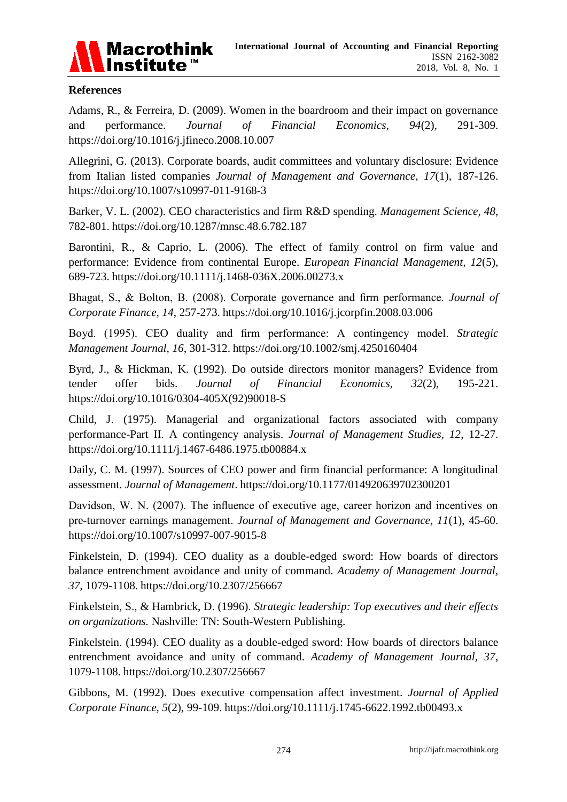

#### **References**

Adams, R., & Ferreira, D. (2009). Women in the boardroom and their impact on governance and performance. *Journal of Financial Economics, 94*(2), 291-309. https://doi.org/10.1016/j.jfineco.2008.10.007

Allegrini, G. (2013). Corporate boards, audit committees and voluntary disclosure: Evidence from Italian listed companies *Journal of Management and Governance, 17*(1), 187-126. https://doi.org/10.1007/s10997-011-9168-3

Barker, V. L. (2002). CEO characteristics and firm R&D spending. *Management Science, 48*, 782-801. https://doi.org/10.1287/mnsc.48.6.782.187

Barontini, R., & Caprio, L. (2006). The effect of family control on firm value and performance: Evidence from continental Europe. *European Financial Management, 12*(5), 689-723. https://doi.org/10.1111/j.1468-036X.2006.00273.x

Bhagat, S., & Bolton, B. (2008). Corporate governance and firm performance. *Journal of Corporate Finance, 14*, 257-273. https://doi.org/10.1016/j.jcorpfin.2008.03.006

Boyd. (1995). CEO duality and firm performance: A contingency model. *Strategic Management Journal, 16*, 301-312. https://doi.org/10.1002/smj.4250160404

Byrd, J., & Hickman, K. (1992). Do outside directors monitor managers? Evidence from tender offer bids. *Journal of Financial Economics, 32*(2), 195-221. https://doi.org/10.1016/0304-405X(92)90018-S

Child, J. (1975). Managerial and organizational factors associated with company performance-Part II. A contingency analysis. *Journal of Management Studies, 12*, 12-27. https://doi.org/10.1111/j.1467-6486.1975.tb00884.x

Daily, C. M. (1997). Sources of CEO power and firm financial performance: A longitudinal assessment. *Journal of Management*. https://doi.org/10.1177/014920639702300201

Davidson, W. N. (2007). The influence of executive age, career horizon and incentives on pre-turnover earnings management. *Journal of Management and Governance, 11*(1), 45-60. https://doi.org/10.1007/s10997-007-9015-8

Finkelstein, D. (1994). CEO duality as a double-edged sword: How boards of directors balance entrenchment avoidance and unity of command. *Academy of Management Journal, 37*, 1079-1108. https://doi.org/10.2307/256667

Finkelstein, S., & Hambrick, D. (1996). *Strategic leadership: Top executives and their effects on organizations.* Nashville: TN: South-Western Publishing.

Finkelstein. (1994). CEO duality as a double-edged sword: How boards of directors balance entrenchment avoidance and unity of command. *Academy of Management Journal, 37*, 1079-1108. https://doi.org/10.2307/256667

Gibbons, M. (1992). Does executive compensation affect investment. *Journal of Applied Corporate Finance, 5*(2), 99-109. https://doi.org/10.1111/j.1745-6622.1992.tb00493.x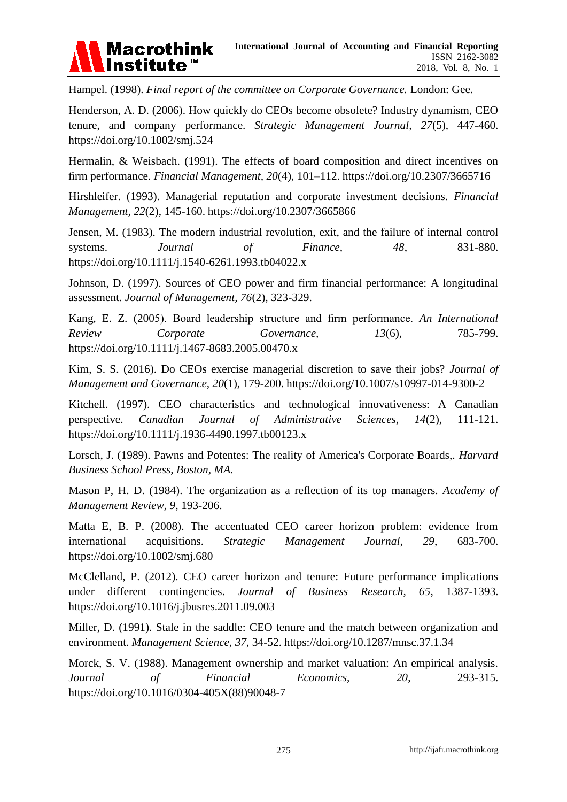

Hampel. (1998). *Final report of the committee on Corporate Governance.* London: Gee.

Henderson, A. D. (2006). How quickly do CEOs become obsolete? Industry dynamism, CEO tenure, and company performance. *Strategic Management Journal, 27*(5), 447-460. https://doi.org/10.1002/smj.524

Hermalin, & Weisbach. (1991). The effects of board composition and direct incentives on firm performance. *Financial Management, 20*(4), 101–112. https://doi.org/10.2307/3665716

Hirshleifer. (1993). Managerial reputation and corporate investment decisions. *Financial Management, 22*(2), 145-160. https://doi.org/10.2307/3665866

Jensen, M. (1983). The modern industrial revolution, exit, and the failure of internal control systems. *Journal of Finance*, 48, 831-880. https://doi.org/10.1111/j.1540-6261.1993.tb04022.x

Johnson, D. (1997). Sources of CEO power and firm financial performance: A longitudinal assessment. *Journal of Management, 76*(2), 323-329.

Kang, E. Z. (2005). Board leadership structure and firm performance. *An International Review Corporate Governance, 13*(6), 785-799. https://doi.org/10.1111/j.1467-8683.2005.00470.x

Kim, S. S. (2016). Do CEOs exercise managerial discretion to save their jobs? *Journal of Management and Governance, 20*(1), 179-200. https://doi.org/10.1007/s10997-014-9300-2

Kitchell. (1997). CEO characteristics and technological innovativeness: A Canadian perspective. *Canadian Journal of Administrative Sciences, 14*(2), 111-121. https://doi.org/10.1111/j.1936-4490.1997.tb00123.x

Lorsch, J. (1989). Pawns and Potentes: The reality of America's Corporate Boards,. *Harvard Business School Press, Boston, MA.*

Mason P, H. D. (1984). The organization as a reflection of its top managers. *Academy of Management Review, 9*, 193-206.

Matta E, B. P. (2008). The accentuated CEO career horizon problem: evidence from international acquisitions. *Strategic Management Journal, 29*, 683-700. https://doi.org/10.1002/smj.680

McClelland, P. (2012). CEO career horizon and tenure: Future performance implications under different contingencies. *Journal of Business Research, 65*, 1387-1393. https://doi.org/10.1016/j.jbusres.2011.09.003

Miller, D. (1991). Stale in the saddle: CEO tenure and the match between organization and environment. *Management Science, 37*, 34-52. https://doi.org/10.1287/mnsc.37.1.34

Morck, S. V. (1988). Management ownership and market valuation: An empirical analysis. *Journal of Financial Economics, 20*, 293-315. https://doi.org/10.1016/0304-405X(88)90048-7